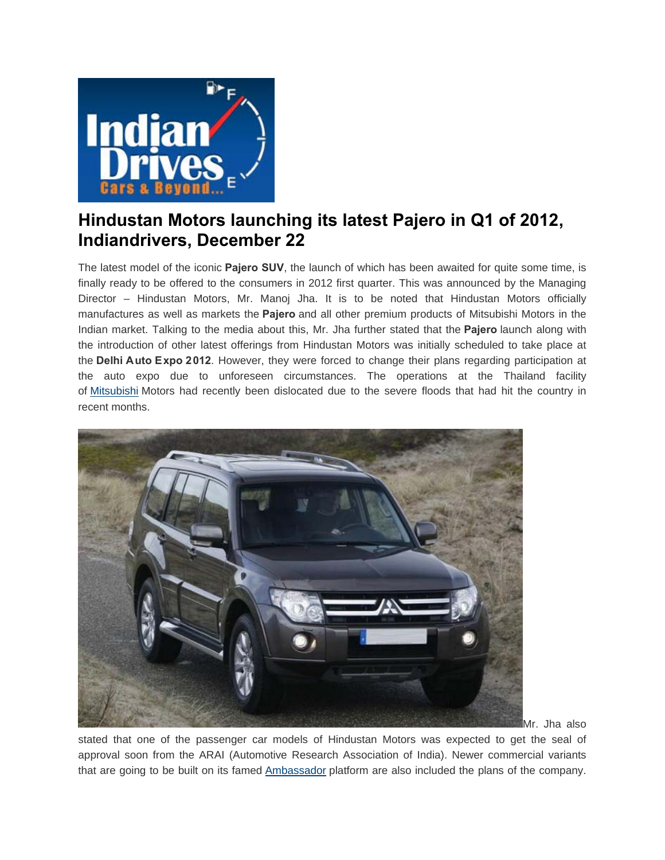

## **[Hindustan Motors launching its latest Pajero in Q1 of 2012,](http://www.indiandrives.com/hindustan-motors-launching-its-latest-pajero-in-q1-of-2012.html) Indiandrivers, December 22**

The latest model of the iconic **Pajero SUV**, the launch of which has been awaited for quite some time, is finally ready to be offered to the consumers in 2012 first quarter. This was announced by the Managing Director – Hindustan Motors, Mr. Manoj Jha. It is to be noted that Hindustan Motors officially manufactures as well as markets the **Pajero** and all other premium products of Mitsubishi Motors in the Indian market. Talking to the media about this, Mr. Jha further stated that the **Pajero** launch along with the introduction of other latest offerings from Hindustan Motors was initially scheduled to take place at the **Delhi Auto Expo 2012**. However, they were forced to change their plans regarding participation at the auto expo due to unforeseen circumstances. The operations at the Thailand facility of [Mitsubishi](http://www.indiandrives.com/mitsubishi-thinking-of-bringing-in-a-7-seater-outlander.html) Motors had recently been dislocated due to the severe floods that had hit the country in recent months.



Mr. Jha also

stated that one of the passenger car models of Hindustan Motors was expected to get the seal of approval soon from the ARAI (Automotive Research Association of India). Newer commercial variants that are going to be built on its famed [Ambassador](http://carprices.indiandrives.com/price_by_model.php?mk=Hindustan_Motors&mod=Hindustan_Motors_Ambassador) platform are also included the plans of the company.